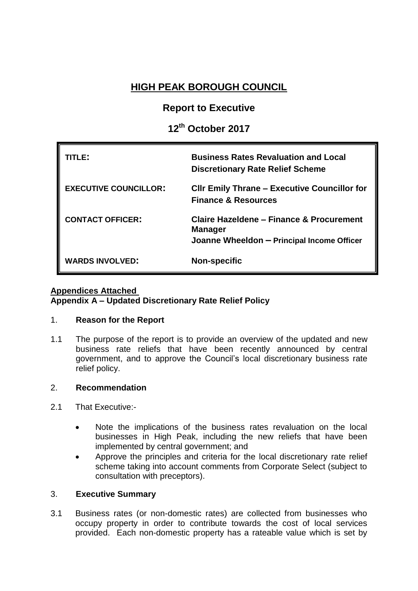# **HIGH PEAK BOROUGH COUNCIL**

# **Report to Executive**

# **12th October 2017**

| ITI F:                       | <b>Business Rates Revaluation and Local</b><br><b>Discretionary Rate Relief Scheme</b>                   |
|------------------------------|----------------------------------------------------------------------------------------------------------|
| <b>EXECUTIVE COUNCILLOR:</b> | <b>CIIr Emily Thrane - Executive Councillor for</b><br><b>Finance &amp; Resources</b>                    |
| <b>CONTACT OFFICER:</b>      | Claire Hazeldene – Finance & Procurement<br><b>Manager</b><br>Joanne Wheeldon - Principal Income Officer |
| <b>WARDS INVOLVED:</b>       | <b>Non-specific</b>                                                                                      |

### **Appendices Attached Appendix A – Updated Discretionary Rate Relief Policy**

# 1. **Reason for the Report**

1.1 The purpose of the report is to provide an overview of the updated and new business rate reliefs that have been recently announced by central government, and to approve the Council's local discretionary business rate relief policy.

# 2. **Recommendation**

- 2.1 That Executive:-
	- Note the implications of the business rates revaluation on the local businesses in High Peak, including the new reliefs that have been implemented by central government; and
	- Approve the principles and criteria for the local discretionary rate relief scheme taking into account comments from Corporate Select (subject to consultation with preceptors).

#### 3. **Executive Summary**

3.1 Business rates (or non-domestic rates) are collected from businesses who occupy property in order to contribute towards the cost of local services provided. Each non-domestic property has a rateable value which is set by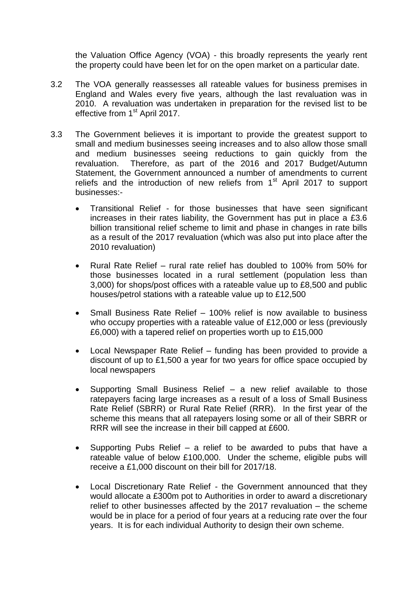the Valuation Office Agency (VOA) - this broadly represents the yearly rent the property could have been let for on the open market on a particular date.

- 3.2 The VOA generally reassesses all rateable values for business premises in England and Wales every five years, although the last revaluation was in 2010. A revaluation was undertaken in preparation for the revised list to be effective from 1<sup>st</sup> April 2017.
- 3.3 The Government believes it is important to provide the greatest support to small and medium businesses seeing increases and to also allow those small and medium businesses seeing reductions to gain quickly from the revaluation. Therefore, as part of the 2016 and 2017 Budget/Autumn Statement, the Government announced a number of amendments to current reliefs and the introduction of new reliefs from 1<sup>st</sup> April 2017 to support businesses:-
	- Transitional Relief for those businesses that have seen significant increases in their rates liability, the Government has put in place a £3.6 billion transitional relief scheme to limit and phase in changes in rate bills as a result of the 2017 revaluation (which was also put into place after the 2010 revaluation)
	- Rural Rate Relief rural rate relief has doubled to 100% from 50% for those businesses located in a rural settlement (population less than 3,000) for shops/post offices with a rateable value up to £8,500 and public houses/petrol stations with a rateable value up to £12,500
	- Small Business Rate Relief 100% relief is now available to business who occupy properties with a rateable value of £12,000 or less (previously £6,000) with a tapered relief on properties worth up to £15,000
	- Local Newspaper Rate Relief funding has been provided to provide a discount of up to £1,500 a year for two years for office space occupied by local newspapers
	- Supporting Small Business Relief a new relief available to those ratepayers facing large increases as a result of a loss of Small Business Rate Relief (SBRR) or Rural Rate Relief (RRR). In the first year of the scheme this means that all ratepayers losing some or all of their SBRR or RRR will see the increase in their bill capped at £600.
	- Supporting Pubs Relief a relief to be awarded to pubs that have a rateable value of below £100,000. Under the scheme, eligible pubs will receive a £1,000 discount on their bill for 2017/18.
	- Local Discretionary Rate Relief the Government announced that they would allocate a £300m pot to Authorities in order to award a discretionary relief to other businesses affected by the 2017 revaluation – the scheme would be in place for a period of four years at a reducing rate over the four years. It is for each individual Authority to design their own scheme.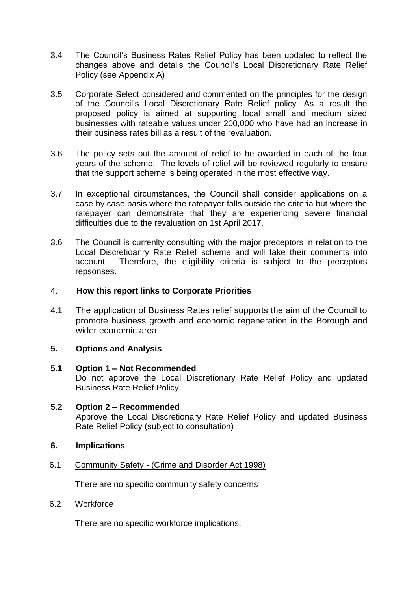- 3.4 The Council's Business Rates Relief Policy has been updated to reflect the changes above and details the Council's Local Discretionary Rate Relief Policy (see Appendix A)
- 3.5 Corporate Select considered and commented on the principles for the design of the Council's Local Discretionary Rate Relief policy. As a result the proposed policy is aimed at supporting local small and medium sized businesses with rateable values under 200,000 who have had an increase in their business rates bill as a result of the revaluation.
- 3.6 The policy sets out the amount of relief to be awarded in each of the four years of the scheme. The levels of relief will be reviewed regularly to ensure that the support scheme is being operated in the most effective way.
- 3.7 In exceptional circumstances, the Council shall consider applications on a case by case basis where the ratepayer falls outside the criteria but where the ratepayer can demonstrate that they are experiencing severe financial difficulties due to the revaluation on 1st April 2017.
- 3.6 The Council is currenlty consulting with the major preceptors in relation to the Local Discretioanry Rate Relief scheme and will take their comments into account. Therefore, the eligibility criteria is subject to the preceptors repsonses.

### 4. **How this report links to Corporate Priorities**

4.1 The application of Business Rates relief supports the aim of the Council to promote business growth and economic regeneration in the Borough and wider economic area

# **5. Options and Analysis**

- **5.1 Option 1 – Not Recommended** Do not approve the Local Discretionary Rate Relief Policy and updated Business Rate Relief Policy
- **5.2 Option 2 – Recommended** Approve the Local Discretionary Rate Relief Policy and updated Business Rate Relief Policy (subject to consultation)
- **6. Implications**
- 6.1 Community Safety (Crime and Disorder Act 1998)

There are no specific community safety concerns

6.2 Workforce

There are no specific workforce implications.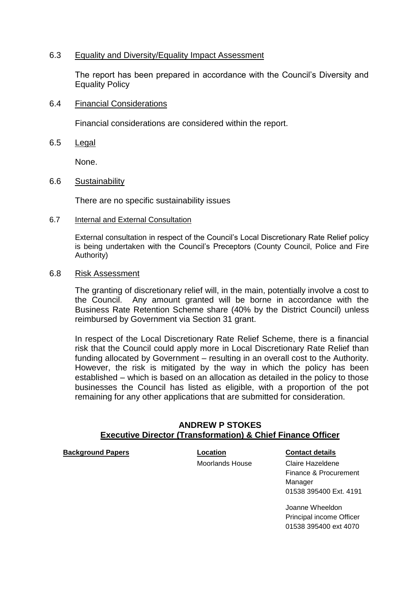#### 6.3 Equality and Diversity/Equality Impact Assessment

The report has been prepared in accordance with the Council's Diversity and Equality Policy

#### 6.4 Financial Considerations

Financial considerations are considered within the report.

6.5 Legal

None.

#### 6.6 Sustainability

There are no specific sustainability issues

6.7 Internal and External Consultation

External consultation in respect of the Council's Local Discretionary Rate Relief policy is being undertaken with the Council's Preceptors (County Council, Police and Fire Authority)

#### 6.8 Risk Assessment

The granting of discretionary relief will, in the main, potentially involve a cost to the Council. Any amount granted will be borne in accordance with the Business Rate Retention Scheme share (40% by the District Council) unless reimbursed by Government via Section 31 grant.

In respect of the Local Discretionary Rate Relief Scheme, there is a financial risk that the Council could apply more in Local Discretionary Rate Relief than funding allocated by Government – resulting in an overall cost to the Authority. However, the risk is mitigated by the way in which the policy has been established – which is based on an allocation as detailed in the policy to those businesses the Council has listed as eligible, with a proportion of the pot remaining for any other applications that are submitted for consideration.

#### **ANDREW P STOKES Executive Director (Transformation) & Chief Finance Officer**

**Background Papers CONTER EXECUTE: Location CONTER EXECUTE: CONTER EXECUTE: CONTER EXECUTE: CONTER EXECUTE: CONTER EXECUTE: CONTER EXECUTE: CONTER EXECUTE: CONTER EXECUTE: CONTER EXECUTE: CONTER EXE** 

Moorlands House Claire Hazeldene Finance & Procurement Manager 01538 395400 Ext. 4191

> Joanne Wheeldon Principal income Officer 01538 395400 ext 4070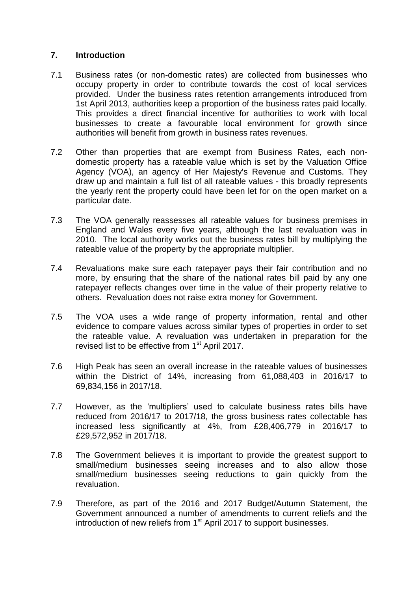## **7. Introduction**

- 7.1 Business rates (or non-domestic rates) are collected from businesses who occupy property in order to contribute towards the cost of local services provided. Under the business rates retention arrangements introduced from 1st April 2013, authorities keep a proportion of the business rates paid locally. This provides a direct financial incentive for authorities to work with local businesses to create a favourable local environment for growth since authorities will benefit from growth in business rates revenues.
- 7.2 Other than properties that are exempt from Business Rates, each nondomestic property has a rateable value which is set by the Valuation Office Agency (VOA), an agency of Her Majesty's Revenue and Customs. They draw up and maintain a full list of all rateable values - this broadly represents the yearly rent the property could have been let for on the open market on a particular date.
- 7.3 The VOA generally reassesses all rateable values for business premises in England and Wales every five years, although the last revaluation was in 2010. The local authority works out the business rates bill by multiplying the rateable value of the property by the appropriate multiplier.
- 7.4 Revaluations make sure each ratepayer pays their fair contribution and no more, by ensuring that the share of the national rates bill paid by any one ratepayer reflects changes over time in the value of their property relative to others. Revaluation does not raise extra money for Government.
- 7.5 The VOA uses a wide range of property information, rental and other evidence to compare values across similar types of properties in order to set the rateable value. A revaluation was undertaken in preparation for the revised list to be effective from 1<sup>st</sup> April 2017.
- 7.6 High Peak has seen an overall increase in the rateable values of businesses within the District of 14%, increasing from 61,088,403 in 2016/17 to 69,834,156 in 2017/18.
- 7.7 However, as the 'multipliers' used to calculate business rates bills have reduced from 2016/17 to 2017/18, the gross business rates collectable has increased less significantly at 4%, from £28,406,779 in 2016/17 to £29,572,952 in 2017/18.
- 7.8 The Government believes it is important to provide the greatest support to small/medium businesses seeing increases and to also allow those small/medium businesses seeing reductions to gain quickly from the revaluation.
- 7.9 Therefore, as part of the 2016 and 2017 Budget/Autumn Statement, the Government announced a number of amendments to current reliefs and the introduction of new reliefs from  $1<sup>st</sup>$  April 2017 to support businesses.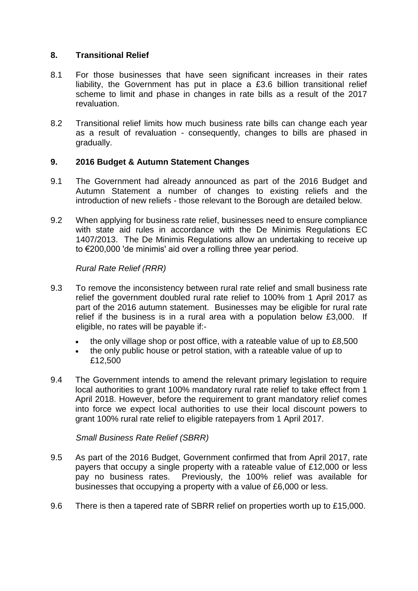### **8. Transitional Relief**

- 8.1 For those businesses that have seen significant increases in their rates liability, the Government has put in place a £3.6 billion transitional relief scheme to limit and phase in changes in rate bills as a result of the 2017 revaluation.
- 8.2 Transitional relief limits how much business rate bills can change each year as a result of revaluation - consequently, changes to bills are phased in gradually.

## **9. 2016 Budget & Autumn Statement Changes**

- 9.1 The Government had already announced as part of the 2016 Budget and Autumn Statement a number of changes to existing reliefs and the introduction of new reliefs - those relevant to the Borough are detailed below.
- 9.2 When applying for business rate relief, businesses need to ensure compliance with state aid rules in accordance with the De Minimis Regulations EC 1407/2013. The De Minimis Regulations allow an undertaking to receive up to €200,000 'de minimis' aid over a rolling three year period.

#### *Rural Rate Relief (RRR)*

- 9.3 To remove the inconsistency between rural rate relief and small business rate relief the government doubled rural rate relief to 100% from 1 April 2017 as part of the 2016 autumn statement. Businesses may be eligible for rural rate relief if the business is in a rural area with a population below £3,000. If eligible, no rates will be payable if:
	- the only village shop or post office, with a rateable value of up to £8,500
	- the only public house or petrol station, with a rateable value of up to £12,500
- 9.4 The Government intends to amend the relevant primary legislation to require local authorities to grant 100% mandatory rural rate relief to take effect from 1 April 2018. However, before the requirement to grant mandatory relief comes into force we expect local authorities to use their local discount powers to grant 100% rural rate relief to eligible ratepayers from 1 April 2017.

#### *Small Business Rate Relief (SBRR)*

- 9.5 As part of the 2016 Budget, Government confirmed that from April 2017, rate payers that occupy a single property with a rateable value of £12,000 or less pay no business rates. Previously, the 100% relief was available for businesses that occupying a property with a value of £6,000 or less.
- 9.6 There is then a tapered rate of SBRR relief on properties worth up to £15,000.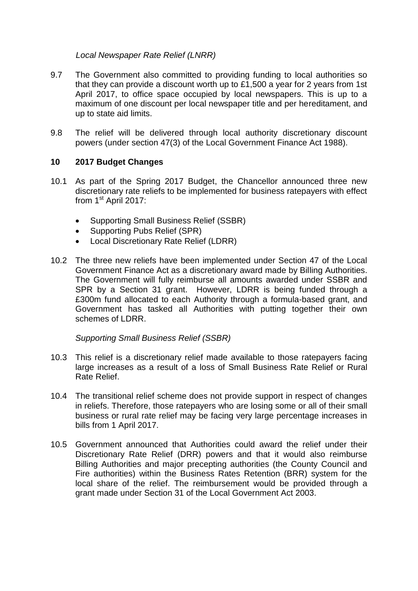### *Local Newspaper Rate Relief (LNRR)*

- 9.7 The Government also committed to providing funding to local authorities so that they can provide a discount worth up to £1,500 a year for 2 years from 1st April 2017, to office space occupied by local newspapers. This is up to a maximum of one discount per local newspaper title and per hereditament, and up to state aid limits.
- 9.8 The relief will be delivered through local authority discretionary discount powers (under section 47(3) of the Local Government Finance Act 1988).

## **10 2017 Budget Changes**

- 10.1 As part of the Spring 2017 Budget, the Chancellor announced three new discretionary rate reliefs to be implemented for business ratepayers with effect from 1<sup>st</sup> April 2017:
	- Supporting Small Business Relief (SSBR)
	- Supporting Pubs Relief (SPR)
	- Local Discretionary Rate Relief (LDRR)
- 10.2 The three new reliefs have been implemented under Section 47 of the Local Government Finance Act as a discretionary award made by Billing Authorities. The Government will fully reimburse all amounts awarded under SSBR and SPR by a Section 31 grant. However, LDRR is being funded through a £300m fund allocated to each Authority through a formula-based grant, and Government has tasked all Authorities with putting together their own schemes of LDRR.

#### *Supporting Small Business Relief (SSBR)*

- 10.3 This relief is a discretionary relief made available to those ratepayers facing large increases as a result of a loss of Small Business Rate Relief or Rural Rate Relief.
- 10.4 The transitional relief scheme does not provide support in respect of changes in reliefs. Therefore, those ratepayers who are losing some or all of their small business or rural rate relief may be facing very large percentage increases in bills from 1 April 2017.
- 10.5 Government announced that Authorities could award the relief under their Discretionary Rate Relief (DRR) powers and that it would also reimburse Billing Authorities and major precepting authorities (the County Council and Fire authorities) within the Business Rates Retention (BRR) system for the local share of the relief. The reimbursement would be provided through a grant made under Section 31 of the Local Government Act 2003.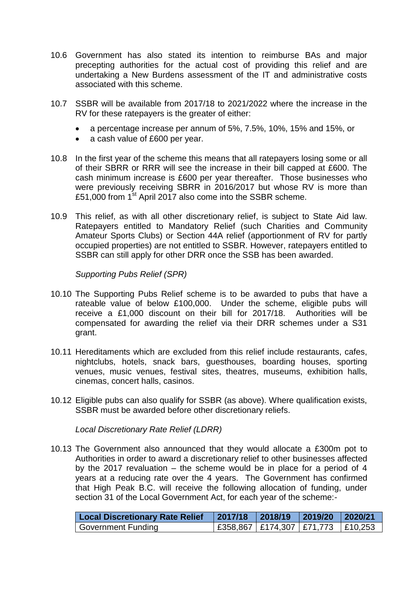- 10.6 Government has also stated its intention to reimburse BAs and major precepting authorities for the actual cost of providing this relief and are undertaking a New Burdens assessment of the IT and administrative costs associated with this scheme.
- 10.7 SSBR will be available from 2017/18 to 2021/2022 where the increase in the RV for these ratepayers is the greater of either:
	- a percentage increase per annum of 5%, 7.5%, 10%, 15% and 15%, or
	- a cash value of £600 per year.
- 10.8 In the first year of the scheme this means that all ratepayers losing some or all of their SBRR or RRR will see the increase in their bill capped at £600. The cash minimum increase is £600 per year thereafter. Those businesses who were previously receiving SBRR in 2016/2017 but whose RV is more than £51,000 from  $1<sup>st</sup>$  April 2017 also come into the SSBR scheme.
- 10.9 This relief, as with all other discretionary relief, is subject to State Aid law. Ratepayers entitled to Mandatory Relief (such Charities and Community Amateur Sports Clubs) or Section 44A relief (apportionment of RV for partly occupied properties) are not entitled to SSBR. However, ratepayers entitled to SSBR can still apply for other DRR once the SSB has been awarded.

*Supporting Pubs Relief (SPR)*

- 10.10 The Supporting Pubs Relief scheme is to be awarded to pubs that have a rateable value of below £100,000. Under the scheme, eligible pubs will receive a £1,000 discount on their bill for 2017/18. Authorities will be compensated for awarding the relief via their DRR schemes under a S31 grant.
- 10.11 Hereditaments which are excluded from this relief include restaurants, cafes, nightclubs, hotels, snack bars, guesthouses, boarding houses, sporting venues, music venues, festival sites, theatres, museums, exhibition halls, cinemas, concert halls, casinos.
- 10.12 Eligible pubs can also qualify for SSBR (as above). Where qualification exists, SSBR must be awarded before other discretionary reliefs.

*Local Discretionary Rate Relief (LDRR)*

10.13 The Government also announced that they would allocate a £300m pot to Authorities in order to award a discretionary relief to other businesses affected by the 2017 revaluation – the scheme would be in place for a period of 4 years at a reducing rate over the 4 years. The Government has confirmed that High Peak B.C. will receive the following allocation of funding, under section 31 of the Local Government Act, for each year of the scheme:-

| <b>Local Discretionary Rate Relief</b> | 2017/18 2018/19 2019/20 2020/21             |  |
|----------------------------------------|---------------------------------------------|--|
| <b>Government Funding</b>              | $ $ £358,867   £174,307   £71,773   £10,253 |  |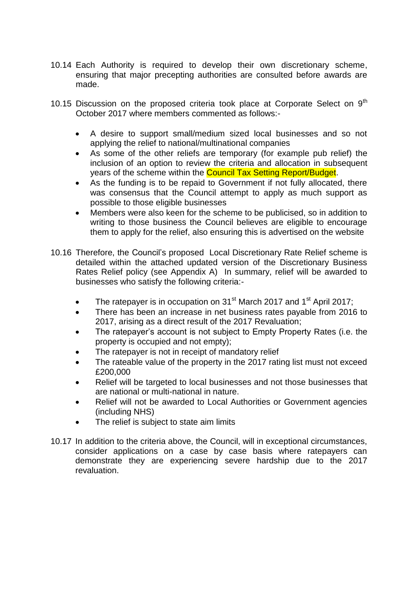- 10.14 Each Authority is required to develop their own discretionary scheme, ensuring that major precepting authorities are consulted before awards are made.
- 10.15 Discussion on the proposed criteria took place at Corporate Select on  $9<sup>th</sup>$ October 2017 where members commented as follows:-
	- A desire to support small/medium sized local businesses and so not applying the relief to national/multinational companies
	- As some of the other reliefs are temporary (for example pub relief) the inclusion of an option to review the criteria and allocation in subsequent years of the scheme within the **Council Tax Setting Report/Budget.**
	- As the funding is to be repaid to Government if not fully allocated, there was consensus that the Council attempt to apply as much support as possible to those eligible businesses
	- Members were also keen for the scheme to be publicised, so in addition to writing to those business the Council believes are eligible to encourage them to apply for the relief, also ensuring this is advertised on the website
- 10.16 Therefore, the Council's proposed Local Discretionary Rate Relief scheme is detailed within the attached updated version of the Discretionary Business Rates Relief policy (see Appendix A) In summary, relief will be awarded to businesses who satisfy the following criteria:-
	- The ratepayer is in occupation on  $31<sup>st</sup>$  March 2017 and  $1<sup>st</sup>$  April 2017;
	- There has been an increase in net business rates payable from 2016 to 2017, arising as a direct result of the 2017 Revaluation;
	- The ratepayer's account is not subject to Empty Property Rates (i.e. the property is occupied and not empty);
	- The ratepayer is not in receipt of mandatory relief
	- The rateable value of the property in the 2017 rating list must not exceed £200,000
	- Relief will be targeted to local businesses and not those businesses that are national or multi-national in nature.
	- Relief will not be awarded to Local Authorities or Government agencies (including NHS)
	- The relief is subject to state aim limits
- 10.17 In addition to the criteria above, the Council, will in exceptional circumstances, consider applications on a case by case basis where ratepayers can demonstrate they are experiencing severe hardship due to the 2017 revaluation.